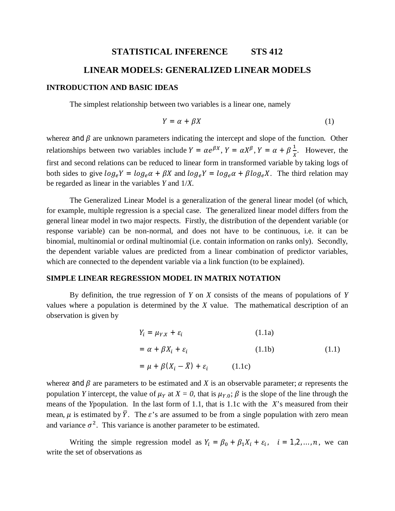## **STATISTICAL INFERENCE STS 412**

## **LINEAR MODELS: GENERALIZED LINEAR MODELS**

#### **INTRODUCTION AND BASIC IDEAS**

The simplest relationship between two variables is a linear one, namely

$$
Y = \alpha + \beta X \tag{1}
$$

where  $\alpha$  and  $\beta$  are unknown parameters indicating the intercept and slope of the function. Other relationships between two variables include  $Y = \alpha e^{\beta X}$ ,  $Y = \alpha X^{\beta}$ ,  $Y = \alpha + \beta \frac{1}{\nu}$  $\frac{1}{x}$ . However, the first and second relations can be reduced to linear form in transformed variable by taking logs of both sides to give  $log_e Y = log_e \alpha + \beta X$  and  $log_e Y = log_e \alpha + \beta log_e X$ . The third relation may be regarded as linear in the variables *Y* and 1/*X*.

The Generalized Linear Model is a generalization of the general linear model (of which, for example, multiple regression is a special case. The generalized linear model differs from the general linear model in two major respects. Firstly, the distribution of the dependent variable (or response variable) can be non-normal, and does not have to be continuous, i.e. it can be binomial, multinomial or ordinal multinomial (i.e. contain information on ranks only). Secondly, the dependent variable values are predicted from a linear combination of predictor variables, which are connected to the dependent variable via a link function (to be explained).

#### **SIMPLE LINEAR REGRESSION MODEL IN MATRIX NOTATION**

By definition, the true regression of *Y* on *X* consists of the means of populations of *Y* values where a population is determined by the *X* value. The mathematical description of an observation is given by

$$
Y_i = \mu_{Y.X} + \varepsilon_i
$$
 (1.1a)  
=  $\alpha + \beta X_i + \varepsilon_i$  (1.1b)  
=  $\mu + \beta (X_i - \overline{X}) + \varepsilon_i$  (1.1c) (1.1)

where  $\alpha$  and  $\beta$  are parameters to be estimated and *X* is an observable parameter;  $\alpha$  represents the population *Y* intercept, the value of  $\mu_Y$  at  $X = 0$ , that is  $\mu_{Y,0}$ ;  $\beta$  is the slope of the line through the means of the *Y*population. In the last form of 1.1, that is 1.1c with the *X*'s measured from their mean,  $\mu$  is estimated by  $\bar{Y}$ . The  $\varepsilon$ 's are assumed to be from a single population with zero mean and variance  $\sigma^2$ . This variance is another parameter to be estimated.

Writing the simple regression model as  $Y_i = \beta_0 + \beta_1 X_i + \varepsilon_i$ ,  $i = 1, 2, ..., n$ , we can write the set of observations as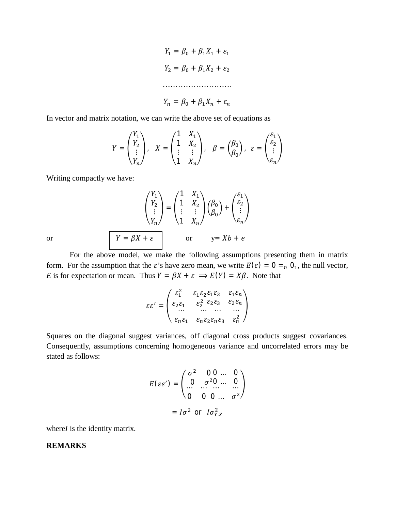$Y_1 = \beta_0 + \beta_1 X_1 + \varepsilon_1$  $Y_2 = \beta_0 + \beta_1 X_2 + \varepsilon_2$ …………………………  $Y_n = \beta_0 + \beta_1 X_n + \varepsilon_n$ 

In vector and matrix notation, we can write the above set of equations as

$$
Y = \begin{pmatrix} Y_1 \\ Y_2 \\ \vdots \\ Y_n \end{pmatrix}, \quad X = \begin{pmatrix} 1 & X_1 \\ 1 & X_2 \\ \vdots & \vdots \\ 1 & X_n \end{pmatrix}, \quad \beta = \begin{pmatrix} \beta_0 \\ \beta_0 \end{pmatrix}, \quad \varepsilon = \begin{pmatrix} \varepsilon_1 \\ \varepsilon_2 \\ \vdots \\ \varepsilon_n \end{pmatrix}
$$

Writing compactly we have:

$$
\begin{pmatrix} Y_1 \\ Y_2 \\ \vdots \\ Y_n \end{pmatrix} = \begin{pmatrix} 1 & X_1 \\ 1 & X_2 \\ \vdots & \vdots \\ 1 & X_n \end{pmatrix} \begin{pmatrix} \beta_0 \\ \beta_0 \end{pmatrix} + \begin{pmatrix} \varepsilon_1 \\ \varepsilon_2 \\ \vdots \\ \varepsilon_n \end{pmatrix}
$$
or 
$$
y = Xb + e
$$

For the above model, we make the following assumptions presenting them in matrix form. For the assumption that the  $\varepsilon$ 's have zero mean, we write  $E(\varepsilon) = 0 =_n 0_1$ , the null vector, *E* is for expectation or mean. Thus  $Y = \beta X + \varepsilon \implies E(Y) = X\beta$ . Note that

$$
\varepsilon \varepsilon' = \begin{pmatrix}\n\varepsilon_1^2 & \varepsilon_1 \varepsilon_2 \varepsilon_1 \varepsilon_3 & \varepsilon_1 \varepsilon_n \\
\varepsilon_2 \varepsilon_1 & \varepsilon_2^2 & \varepsilon_2 \varepsilon_3 & \varepsilon_2 \varepsilon_n \\
\vdots & \vdots & \ddots & \vdots \\
\varepsilon_n \varepsilon_1 & \varepsilon_n \varepsilon_2 \varepsilon_n \varepsilon_3 & \varepsilon_n^2\n\end{pmatrix}
$$

Squares on the diagonal suggest variances, off diagonal cross products suggest covariances. Consequently, assumptions concerning homogeneous variance and uncorrelated errors may be stated as follows:

$$
E(\varepsilon \varepsilon') = \begin{pmatrix} \sigma^2 & 0 & 0 & \dots & 0 \\ 0 & \sigma^2 & 0 & \dots & 0 \\ \dots & \dots & \dots & \dots & \dots \\ 0 & 0 & 0 & \dots & \sigma^2 \end{pmatrix}
$$

$$
= I\sigma^2 \text{ or } I\sigma_{YX}^2
$$

where*I* is the identity matrix.

### **REMARKS**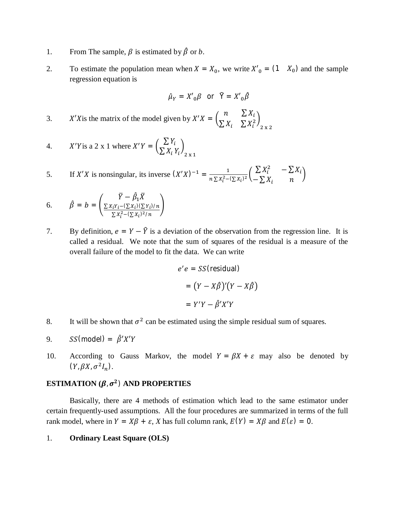- 1. From The sample,  $\beta$  is estimated by  $\hat{\beta}$  or *b*.
- 2. To estimate the population mean when  $X = X_0$ , we write  $X'_0 = (1 \ X_0)$  and the sample regression equation is

$$
\hat{\mu}_Y = X'_{0} \beta \text{ or } \hat{Y} = X'_{0} \hat{\beta}
$$

3.  $X'X$  is the matrix of the model given by  $X'X = \begin{pmatrix} n & \sum X_i \\ \sum Y_i & \sum Y_i^2 \end{pmatrix}$  $\sum X_i \sum X_i^2$ 2 x 2

4. 
$$
X'Y \text{ is a 2 x 1 where } X'Y = \left(\sum_{i=1}^{N} Y_i\right)_{2 \times 1}
$$

5. If X'X is nonsingular, its inverse  $(X'X)^{-1} = \frac{1}{\pi \sum x^2}$  $\frac{1}{n \sum X_i^2 - (\sum X_i)^2} \left( \frac{\sum X_i^2}{\sum X_i} - \sum X_i \right)$  $\left( \begin{array}{cc} \sum x_i & \sum x_i \\ -\sum x_i & n \end{array} \right)$ 

6. 
$$
\hat{\beta} = b = \left( \frac{\overline{Y} - \hat{\beta}_1 \overline{X}}{\sum X_i^2 - (\sum X_i)(\sum Y_i)/n} \right)
$$

7. By definition,  $e = Y - \hat{Y}$  is a deviation of the observation from the regression line. It is called a residual. We note that the sum of squares of the residual is a measure of the overall failure of the model to fit the data. We can write

$$
e'e = SS(residual)
$$

$$
= (Y - X\hat{\beta})'(Y - X\hat{\beta})
$$

$$
= Y'Y - \hat{\beta}'X'Y
$$

8. It will be shown that  $\sigma^2$  can be estimated using the simple residual sum of squares.

9. 
$$
SS \text{(model)} = \hat{\beta}' X'Y
$$

10. According to Gauss Markov, the model  $Y = \beta X + \varepsilon$  may also be denoted by  $(Y, \beta X, \sigma^2 I_n).$ 

# ESTIMATION  $(\boldsymbol{\beta}, \boldsymbol{\sigma^2})$  and properties

Basically, there are 4 methods of estimation which lead to the same estimator under certain frequently-used assumptions. All the four procedures are summarized in terms of the full rank model, where in  $Y = X\beta + \varepsilon$ , *X* has full column rank,  $E(Y) = X\beta$  and  $E(\varepsilon) = 0$ .

### 1. **Ordinary Least Square (OLS)**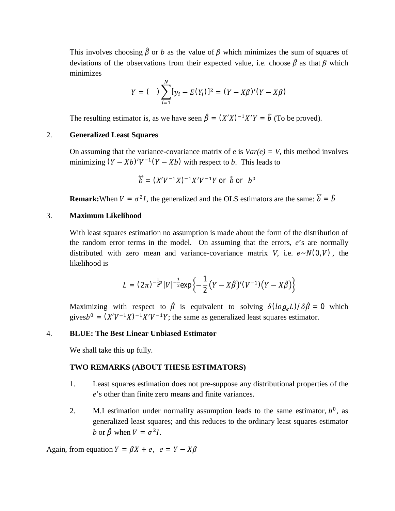This involves choosing  $\hat{\beta}$  or *b* as the value of  $\beta$  which minimizes the sum of squares of deviations of the observations from their expected value, i.e. choose  $\hat{\beta}$  as that  $\beta$  which minimizes

$$
Y = (\t) \sum_{i=1}^{N} [y_i - E(Y_i)]^2 = (Y - X\beta)'(Y - X\beta)
$$

The resulting estimator is, as we have seen  $\hat{\beta} = (X'X)^{-1}X'Y = \hat{b}$  (To be proved).

# 2. **Generalized Least Squares**

On assuming that the variance-covariance matrix of  $e$  is  $Var(e) = V$ , this method involves minimizing  $(Y - Xb)'V^{-1}(Y - Xb)$  with respect to *b*. This leads to

$$
\overleftrightarrow{b} = (X'V^{-1}X)^{-1}X'V^{-1}Y \text{ or } \overleftrightarrow{b} \text{ or } b^0
$$

**Remark:** When  $V = \sigma^2 I$ , the generalized and the OLS estimators are the same:  $\vec{b} = \hat{b}$ 

### 3. **Maximum Likelihood**

With least squares estimation no assumption is made about the form of the distribution of the random error terms in the model. On assuming that the errors, *e*'s are normally distributed with zero mean and variance-covariance matrix *V*, i.e.  $e \sim N(0, V)$ , the likelihood is

$$
L = (2\pi)^{-\frac{1}{2}p}|V|^{-\frac{1}{2}}\exp\left\{-\frac{1}{2}(Y-X\hat{\beta})'(V^{-1})(Y-X\hat{\beta})\right\}
$$

Maximizing with respect to  $\hat{\beta}$  is equivalent to solving  $\delta(log_e L)/\delta \hat{\beta} = 0$  which gives $b^0 = (X'V^{-1}X)^{-1}X'V^{-1}Y$ ; the same as generalized least squares estimator.

### 4. **BLUE: The Best Linear Unbiased Estimator**

We shall take this up fully.

### **TWO REMARKS (ABOUT THESE ESTIMATORS)**

- 1. Least squares estimation does not pre-suppose any distributional properties of the *e*'s other than finite zero means and finite variances.
- 2. M.I estimation under normality assumption leads to the same estimator,  $b^0$ , as generalized least squares; and this reduces to the ordinary least squares estimator *b* or  $\hat{\beta}$  when  $V = \sigma^2 I$ .

Again, from equation  $Y = \beta X + e$ ,  $e = Y - X\beta$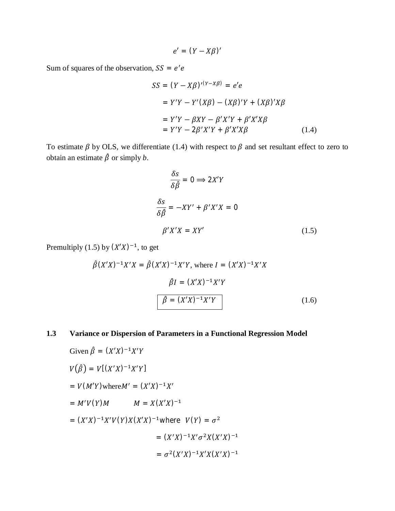$$
e'=(Y-X\beta)'
$$

Sum of squares of the observation,  $SS = e'e$ 

$$
SS = (Y - X\beta)^{V(Y - X\beta)} = e'e
$$
  
=  $Y'Y - Y'(X\beta) - (X\beta)'Y + (X\beta)'X\beta$   
=  $Y'Y - \beta XY - \beta'X'Y + \beta'X'X\beta$   
=  $Y'Y - 2\beta'X'Y + \beta'X'X\beta$  (1.4)

To estimate  $\beta$  by OLS, we differentiate (1.4) with respect to  $\beta$  and set resultant effect to zero to obtain an estimate  $\hat{\beta}$  or simply *b*.

$$
\frac{\delta s}{\delta \hat{\beta}} = 0 \Longrightarrow 2X'Y
$$
  

$$
\frac{\delta s}{\delta \hat{\beta}} = -XY' + \beta'X'X = 0
$$
  

$$
\beta'X'X = XY'
$$
 (1.5)

Premultiply (1.5) by  $(X'X)^{-1}$ , to get

$$
\hat{\beta}(X'X)^{-1}X'X = \hat{\beta}(X'X)^{-1}X'Y, \text{ where } I = (X'X)^{-1}X'X
$$

$$
\hat{\beta}I = (X'X)^{-1}X'Y
$$

$$
\hat{\beta} = (X'X)^{-1}X'Y
$$
(1.6)

# **1.3 Variance or Dispersion of Parameters in a Functional Regression Model**

Given 
$$
\hat{\beta} = (X'X)^{-1}X'Y
$$
  
\n
$$
V(\hat{\beta}) = V[(X'X)^{-1}X'Y]
$$
  
\n
$$
= V(M'Y) \text{where } M' = (X'X)^{-1}X'
$$
  
\n
$$
= M'V(Y)M \qquad M = X(X'X)^{-1}
$$
  
\n
$$
= (X'X)^{-1}X'V(Y)X(X'X)^{-1} \text{where } V(Y) = \sigma^2
$$
  
\n
$$
= (X'X)^{-1}X'\sigma^2X(X'X)^{-1}
$$
  
\n
$$
= \sigma^2(X'X)^{-1}X'X(X'X)^{-1}
$$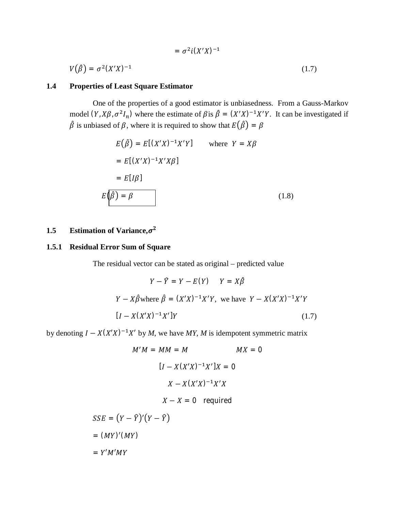$$
= \sigma^2 i (X'X)^{-1}
$$

$$
V(\hat{\beta}) = \sigma^2 (X'X)^{-1}
$$
(1.7)

## **1.4 Properties of Least Square Estimator**

One of the properties of a good estimator is unbiasedness. From a Gauss-Markov model  $(Y, X\beta, \sigma^2 I_n)$  where the estimate of  $\beta$  is  $\hat{\beta} = (X'X)^{-1}X'Y$ . It can be investigated if  $\hat{\beta}$  is unbiased of  $\beta$ , where it is required to show that  $E(\hat{\beta}) = \beta$ 

$$
E(\hat{\beta}) = E[(X'X)^{-1}X'Y] \quad \text{where } Y = X\beta
$$
  
= 
$$
E[(X'X)^{-1}X'X\beta]
$$
  
= 
$$
E[I\beta]
$$
  

$$
E(\hat{\beta}) = \beta
$$
 (1.8)

# **1.5 Estimation of Variance,** $\sigma^2$

### **1.5.1 Residual Error Sum of Square**

The residual vector can be stated as original – predicted value

$$
Y - \hat{Y} = Y - E(Y) \qquad Y = X\hat{\beta}
$$
  
\n
$$
Y - X\hat{\beta} \text{where } \hat{\beta} = (X'X)^{-1}X'Y, \text{ we have } Y - X(X'X)^{-1}X'Y
$$
  
\n
$$
[I - X(X'X)^{-1}X']Y \qquad (1.7)
$$

by denoting  $I - X(X'X)^{-1}X'$  by M, we have MY, M is idempotent symmetric matrix

$$
M'M = MM = M \qquad MX = 0
$$
  

$$
[I - X(X'X)^{-1}X']X = 0
$$
  

$$
X - X(X'X)^{-1}X'X
$$
  

$$
X - X = 0 \text{ required}
$$
  

$$
(Y - \hat{Y})'(Y - \hat{Y})
$$

$$
SSE = (Y - \hat{Y})'(Y - \hat{Y})
$$

$$
= (MY)'(MY)
$$

$$
= Y'M'MY
$$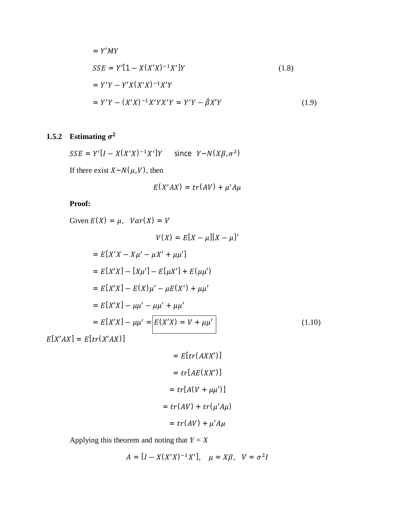$$
= Y'MY
$$
  
\n
$$
SSE = Y'[1 - X(X'X)^{-1}X']Y
$$
  
\n
$$
= Y'Y - Y'X(X'X)^{-1}X'Y
$$
  
\n
$$
= Y'Y - (X'X)^{-1}X'YX'Y = Y'Y - \hat{\beta}X'Y
$$
\n(1.9)

# **1.5.2** Estimating  $\sigma^2$

 $SSE = Y'[I - X(X'X)^{-1}X']Y$  since  $Y \sim N(X\beta, \sigma^2)$ If there exist  $X \sim N(\mu, V)$ , then

$$
E(X'AX) = tr(AV) + \mu' A\mu
$$

# **Proof:**

Given 
$$
E(X) = \mu
$$
,  $Var(X) = V$   
\n
$$
V(X) = E[X - \mu][X - \mu]'
$$
\n
$$
= E[X'X - X\mu' - \mu X' + \mu\mu']
$$
\n
$$
= E[X'X] - [X\mu'] - E[\mu X'] + E(\mu\mu')
$$
\n
$$
= E[X'X] - E(X)\mu' - \mu E(X') + \mu\mu'
$$
\n
$$
= E[X'X] - \mu\mu' - \mu\mu' + \mu\mu'
$$
\n
$$
= E[X'X] - \mu\mu' = E(X'X) = V + \mu\mu'
$$
\n(1.10)  
\n
$$
AX] = E[tr(X'AX)]
$$

 $E[X']$ 

$$
= E[tr(AXX')]
$$

$$
= tr[AE(XX')]
$$

$$
= tr[A(V + \mu\mu')]
$$

$$
= tr(AV) + tr(\mu'A\mu)
$$

$$
= tr(AV) + \mu'A\mu
$$

Applying this theorem and noting that  $Y = X$ 

$$
A = [I - X(X'X)^{-1}X'], \quad \mu = X\beta, \quad V = \sigma^2 I
$$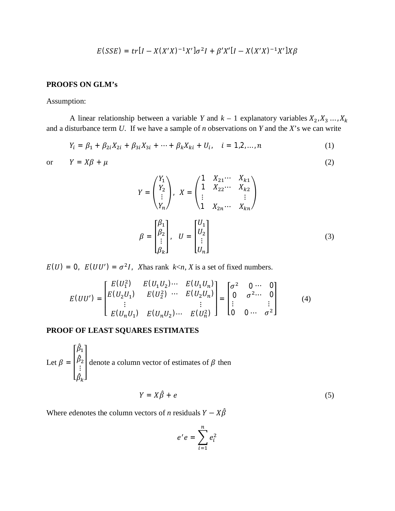$$
E(SSE) = tr[I - X(X'X)^{-1}X']\sigma^{2}I + \beta'X'[I - X(X'X)^{-1}X']X\beta
$$

#### **PROOFS ON GLM's**

Assumption:

A linear relationship between a variable *Y* and  $k-1$  explanatory variables  $X_2, X_3, \ldots, X_k$ and a disturbance term *U*. If we have a sample of *n* observations on *Y* and the *X*'s we can write

$$
Y_i = \beta_1 + \beta_{2i} X_{2i} + \beta_{3i} X_{3i} + \dots + \beta_k X_{ki} + U_i, \quad i = 1, 2, \dots, n
$$
 (1)

or  $Y = X\beta + \mu$  (2)

$$
Y = \begin{pmatrix} Y_1 \\ Y_2 \\ \vdots \\ Y_n \end{pmatrix}, \quad X = \begin{pmatrix} 1 & X_{21} \cdots & X_{k1} \\ 1 & X_{22} \cdots & X_{k2} \\ \vdots & & \vdots \\ 1 & X_{2n} \cdots & X_{kn} \end{pmatrix}
$$

$$
\beta = \begin{bmatrix} \beta_1 \\ \beta_2 \\ \vdots \\ \beta_k \end{bmatrix}, \quad U = \begin{bmatrix} U_1 \\ U_2 \\ \vdots \\ U_n \end{bmatrix}
$$
(3)

 $E(U) = 0$ ,  $E(UU') = \sigma^2 I$ , Xhas rank  $k < n$ , X is a set of fixed numbers.

$$
E(UU') = \begin{bmatrix} E(U_1^2) & E(U_1U_2) \cdots & E(U_1U_n) \\ E(U_2U_1) & E(U_2^2) & \cdots & E(U_2U_n) \\ \vdots & & & \vdots \\ E(U_nU_1) & E(U_nU_2) \cdots & E(U_n^2) \end{bmatrix} = \begin{bmatrix} \sigma^2 & 0 & \cdots & 0 \\ 0 & \sigma^2 & \cdots & 0 \\ \vdots & & & \vdots \\ 0 & 0 & \cdots & \sigma^2 \end{bmatrix}
$$
(4)

# **PROOF OF LEAST SQUARES ESTIMATES**

Let  $\beta =$ ⎣ ⎢ ⎢  $\int_{0}^{\hat{\beta}_1}$  $\hat{\beta}_2$ ⋮  $\beta_k$  ,  $\overline{\phantom{a}}$  $\overline{\phantom{a}}$ ⎤ denote a column vector of estimates of  $\beta$  then

$$
Y = X\hat{\beta} + e \tag{5}
$$

Where *e*denotes the column vectors of *n* residuals  $Y - X\hat{\beta}$ 

$$
e'e = \sum_{i=1}^n e_i^2
$$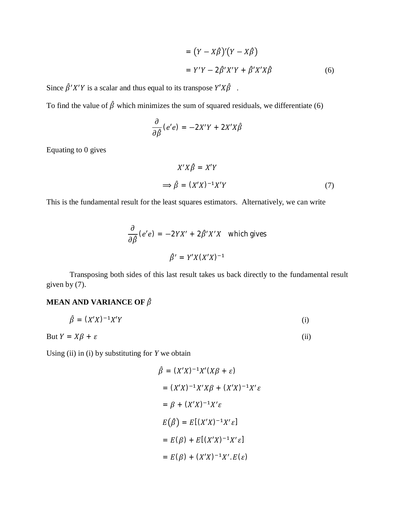$$
= (Y - X\hat{\beta})'(Y - X\hat{\beta})
$$
  
= Y'Y - 2\hat{\beta}'X'Y + \hat{\beta}'X'X\hat{\beta} (6)

Since  $\hat{\beta}' X' Y$  is a scalar and thus equal to its transpose  $Y' X \hat{\beta}$ .

To find the value of  $\hat{\beta}$  which minimizes the sum of squared residuals, we differentiate (6)

$$
\frac{\partial}{\partial \hat{\beta}}(e'e) = -2X'Y + 2X'X\hat{\beta}
$$

Equating to 0 gives

$$
X'X\hat{\beta} = X'Y
$$
  
\n
$$
\Rightarrow \hat{\beta} = (X'X)^{-1}X'Y
$$
 (7)

This is the fundamental result for the least squares estimators. Alternatively, we can write

$$
\frac{\partial}{\partial \hat{\beta}} (e'e) = -2YX' + 2\hat{\beta}'X'X \text{ which gives}
$$

$$
\hat{\beta}' = Y'X(X'X)^{-1}
$$

Transposing both sides of this last result takes us back directly to the fundamental result given by (7).

# **MEAN AND VARIANCE OF**  $\hat{\beta}$

$$
\hat{\beta} = (X'X)^{-1}X'Y \tag{i}
$$

But  $Y = X\beta + \varepsilon$  (ii)

Using (ii) in (i) by substituting for *Y* we obtain

$$
\hat{\beta} = (X'X)^{-1}X'(X\beta + \varepsilon)
$$
\n
$$
= (X'X)^{-1}X'X\beta + (X'X)^{-1}X'\varepsilon
$$
\n
$$
= \beta + (X'X)^{-1}X'\varepsilon
$$
\n
$$
E(\hat{\beta}) = E[(X'X)^{-1}X'\varepsilon]
$$
\n
$$
= E(\beta) + E[(X'X)^{-1}X'\varepsilon]
$$
\n
$$
= E(\beta) + (X'X)^{-1}X'.E(\varepsilon)
$$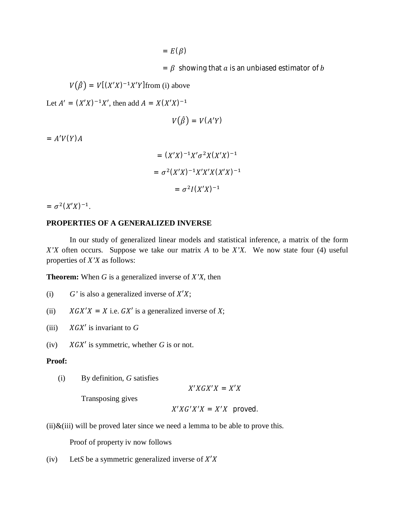$= E(\beta)$ 

 $=$   $\beta$  showing that  $\alpha$  is an unbiased estimator of  $\alpha$ 

$$
V(\hat{\beta}) = V[(X'X)^{-1}X'Y] \text{from (i) above}
$$

Let  $A' = (X'X)^{-1}X'$ , then add  $A = X(X'X)^{-1}$ 

$$
V(\hat{\beta})=V(A'Y)
$$

 $= A'V(Y)A$ 

$$
= (X'X)^{-1}X'\sigma^2X(X'X)^{-1}
$$

$$
= \sigma^2(X'X)^{-1}X'X'X(X'X)^{-1}
$$

$$
= \sigma^2I(X'X)^{-1}
$$

 $= \sigma^2 (X'X)^{-1}.$ 

### **PROPERTIES OF A GENERALIZED INVERSE**

In our study of generalized linear models and statistical inference, a matrix of the form *X'X* often occurs. Suppose we take our matrix *A* to be *X'X*. We now state four (4) useful properties of *X'X* as follows:

**Theorem:** When *G* is a generalized inverse of *X'X*, then

- (i)  $G'$  is also a generalized inverse of  $X'X$ ;
- (ii)  $XGX'X = X$  i.e.  $GX'$  is a generalized inverse of X;
- (iii)  $XGX'$  is invariant to G
- (iv)  $XGX'$  is symmetric, whether *G* is or not.

### **Proof:**

(i) By definition, *G* satisfies

 $X'XGX'X = X'X$ 

Transposing gives

$$
X'XG'X'X = X'X
$$
 proved.

(ii) $\&$ (iii) will be proved later since we need a lemma to be able to prove this.

Proof of property iv now follows

(iv) Let*S* be a symmetric generalized inverse of  $X'X$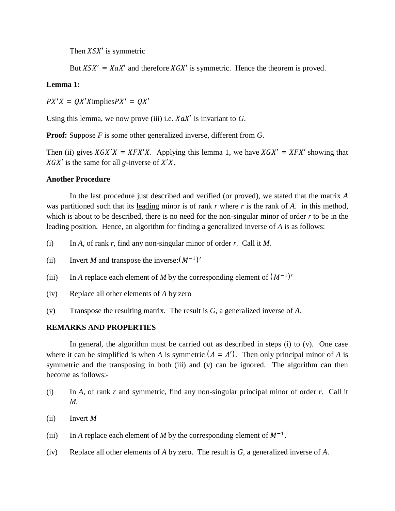Then  $X S X'$  is symmetric

But  $XSX' = XaX'$  and therefore  $XGX'$  is symmetric. Hence the theorem is proved.

# **Lemma 1:**

 $PX'X = QX'X$ implies $PX' = QX'$ 

Using this lemma, we now prove (iii) i.e.  $XaX'$  is invariant to  $G$ .

**Proof:** Suppose *F* is some other generalized inverse, different from *G*.

Then (ii) gives  $XGX'X = XFX'X$ . Applying this lemma 1, we have  $XGX' = XFX'$  showing that  $XGX'$  is the same for all *g*-inverse of  $X'X$ .

# **Another Procedure**

In the last procedure just described and verified (or proved), we stated that the matrix *A* was partitioned such that its leading minor is of rank *r* where *r* is the rank of *A*. in this method, which is about to be described, there is no need for the non-singular minor of order  $r$  to be in the leading position. Hence, an algorithm for finding a generalized inverse of *A* is as follows:

- (i) In *A*, of rank *r*, find any non-singular minor of order *r*. Call it *M*.
- (ii) Invert *M* and transpose the inverse:  $(M^{-1})'$
- (iii) In *A* replace each element of *M* by the corresponding element of  $(M^{-1})'$
- (iv) Replace all other elements of *A* by zero
- (v) Transpose the resulting matrix. The result is *G*, a generalized inverse of *A*.

### **REMARKS AND PROPERTIES**

In general, the algorithm must be carried out as described in steps (i) to (v). One case where it can be simplified is when *A* is symmetric  $(A = A')$ . Then only principal minor of *A* is symmetric and the transposing in both (iii) and (v) can be ignored. The algorithm can then become as follows:-

- (i) In *A*, of rank *r* and symmetric, find any non-singular principal minor of order *r*. Call it *M*.
- (ii) Invert *M*
- (iii) In *A* replace each element of *M* by the corresponding element of  $M^{-1}$ .
- (iv) Replace all other elements of *A* by zero. The result is *G*, a generalized inverse of *A*.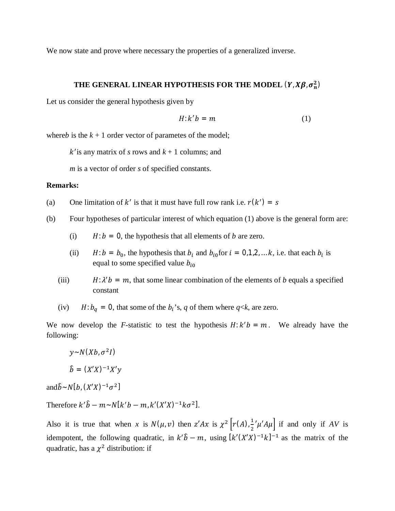We now state and prove where necessary the properties of a generalized inverse.

# THE GENERAL LINEAR HYPOTHESIS FOR THE MODEL  $(Y, X\beta, \sigma_n^2)$

Let us consider the general hypothesis given by

$$
H: k'b = m \tag{1}
$$

where*b* is the  $k + 1$  order vector of parametes of the model;

 $k$ <sup>'</sup> is any matrix of *s* rows and  $k + 1$  columns; and

*m* is a vector of order *s* of specified constants.

# **Remarks:**

- (a) One limitation of k' is that it must have full row rank i.e.  $r(k') = s$
- (b) Four hypotheses of particular interest of which equation (1) above is the general form are:
	- (i)  $H: b = 0$ , the hypothesis that all elements of *b* are zero.
	- (ii)  $H: b = b_0$ , the hypothesis that  $b_i$  and  $b_{i0}$  for  $i = 0, 1, 2, ...$  k, i.e. that each  $b_i$  is equal to some specified value  $b_{i0}$
	- (iii)  $H: \lambda' b = m$ , that some linear combination of the elements of *b* equals a specified constant

(iv)  $H: b_q = 0$ , that some of the  $b_i$ 's, *q* of them where  $q \lt k$ , are zero.

We now develop the *F*-statistic to test the hypothesis  $H: k'b = m$ . We already have the following:

$$
y \sim N(Xb, \sigma^2 I)
$$

$$
\hat{b} = (X'X)^{-1}X'y
$$

and  $\hat{b} \sim N[b, (X'X)^{-1}\sigma^2]$ 

Therefore  $k' \hat{b} - m \sim N[k'b - m, k'(X'X)^{-1}k\sigma^2]$ .

Also it is true that when *x* is  $N(\mu, \nu)$  then  $z'Ax$  is  $\chi^2 \left[ r(A) \frac{1}{2} \right]$  $\frac{1}{2}$ ' $\mu'$ A $\mu$ ] if and only if AV is idempotent, the following quadratic, in  $k' \hat{b} - m$ , using  $[k'(X'X)^{-1}k]^{-1}$  as the matrix of the quadratic, has a  $\chi^2$  distribution: if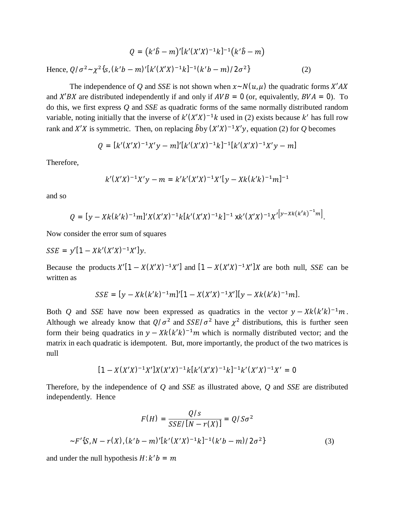$$
Q = (k'\hat{b} - m)'[k'(X'X)^{-1}k]^{-1}(k'\hat{b} - m)
$$
  
Hence,  $Q/\sigma^2 \sim \chi^2 \{s, (k'b - m)'[k'(X'X)^{-1}k]^{-1}(k'b - m)/2\sigma^2\}$  (2)

The independence of *Q* and *SSE* is not shown when  $x \sim N(u, \mu)$  the quadratic forms  $X'AX$ and  $X'BX$  are distributed independently if and only if  $AVB = 0$  (or, equivalently,  $BVA = 0$ ). To do this, we first express *Q* and *SSE* as quadratic forms of the same normally distributed random variable, noting initially that the inverse of  $k'(X'X)^{-1}k$  used in (2) exists because k' has full row rank and X'X is symmetric. Then, on replacing  $\hat{b}$ by  $(X'X)^{-1}X'y$ , equation (2) for *Q* becomes

$$
Q = [k'(X'X)^{-1}X'y - m]'[k'(X'X)^{-1}k]^{-1}[k'(X'X)^{-1}X'y - m]
$$

Therefore,

$$
k'(X'X)^{-1}X'y - m = k'k'(X'X)^{-1}X'[y - Xk(k'k)^{-1}m]^{-1}
$$

and so

$$
Q = [y - Xk(k'k)^{-1}m]'X(X'X)^{-1}k[k'(X'X)^{-1}k]^{-1}xk'(X'X)^{-1}X'[y - xk(k'k)^{-1}m].
$$

Now consider the error sum of squares

$$
SSE = y'[1 - Xk'(X'X)^{-1}X']y.
$$

Because the products  $X'[1 - X(X'X)^{-1}X']$  and  $[1 - X(X'X)^{-1}X']X$  are both null, *SSE* can be written as

$$
SSE = [y - Xk(k'k)^{-1}m]'[1 - X(X'X)^{-1}X'][y - Xk(k'k)^{-1}m].
$$

Both *Q* and *SSE* have now been expressed as quadratics in the vector  $y - Xk(k'k)^{-1}m$ . Although we already know that  $Q/\sigma^2$  and  $SSE/\sigma^2$  have  $\chi^2$  distributions, this is further seen form their being quadratics in  $y - Xk(k'k)^{-1}m$  which is normally distributed vector; and the matrix in each quadratic is idempotent. But, more importantly, the product of the two matrices is null

$$
[1 - X(X'X)^{-1}X']X(X'X)^{-1}k[k'(X'X)^{-1}k]^{-1}k'(X'X)^{-1}X' = 0
$$

Therefore, by the independence of *Q* and *SSE* as illustrated above, *Q* and *SSE* are distributed independently. Hence

$$
F(H) = \frac{Q/s}{SSE/[N - r(X)]} = Q/S\sigma^2
$$

$$
\sim F'\{S, N - r(X), (k'b - m)'[k'(X'X)^{-1}k]^{-1}(k'b - m)/2\sigma^2\}
$$
(3)

and under the null hypothesis  $H: k'b = m$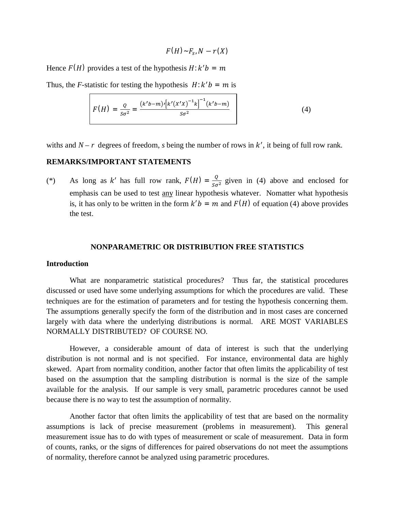$$
F(H) \sim F_{S} N - r(X)
$$

Hence  $F(H)$  provides a test of the hypothesis  $H: k'b = m$ 

Thus, the *F*-statistic for testing the hypothesis  $H: k'b = m$  is

$$
F(H) = \frac{Q}{s\sigma^2} = \frac{(k'b - m)[k'(x'x)^{-1}k]^{-1}(k'b - m)}{s\sigma^2}
$$
 (4)

withs and  $N-r$  degrees of freedom, *s* being the number of rows in  $k'$ , it being of full row rank.

### **REMARKS/IMPORTANT STATEMENTS**

(\*) As long as k' has full row rank,  $F(H) = \frac{Q}{5\pi}$  $\frac{Q}{5\sigma^2}$  given in (4) above and enclosed for emphasis can be used to test any linear hypothesis whatever. Nomatter what hypothesis is, it has only to be written in the form  $k'b = m$  and  $F(H)$  of equation (4) above provides the test.

#### **NONPARAMETRIC OR DISTRIBUTION FREE STATISTICS**

#### **Introduction**

What are nonparametric statistical procedures? Thus far, the statistical procedures discussed or used have some underlying assumptions for which the procedures are valid. These techniques are for the estimation of parameters and for testing the hypothesis concerning them. The assumptions generally specify the form of the distribution and in most cases are concerned largely with data where the underlying distributions is normal. ARE MOST VARIABLES NORMALLY DISTRIBUTED? OF COURSE NO.

However, a considerable amount of data of interest is such that the underlying distribution is not normal and is not specified. For instance, environmental data are highly skewed. Apart from normality condition, another factor that often limits the applicability of test based on the assumption that the sampling distribution is normal is the size of the sample available for the analysis. If our sample is very small, parametric procedures cannot be used because there is no way to test the assumption of normality.

Another factor that often limits the applicability of test that are based on the normality assumptions is lack of precise measurement (problems in measurement). This general measurement issue has to do with types of measurement or scale of measurement. Data in form of counts, ranks, or the signs of differences for paired observations do not meet the assumptions of normality, therefore cannot be analyzed using parametric procedures.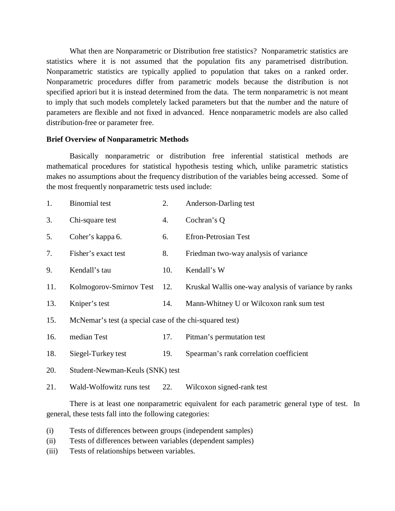What then are Nonparametric or Distribution free statistics? Nonparametric statistics are statistics where it is not assumed that the population fits any parametrised distribution. Nonparametric statistics are typically applied to population that takes on a ranked order. Nonparametric procedures differ from parametric models because the distribution is not specified apriori but it is instead determined from the data. The term nonparametric is not meant to imply that such models completely lacked parameters but that the number and the nature of parameters are flexible and not fixed in advanced. Hence nonparametric models are also called distribution-free or parameter free.

### **Brief Overview of Nonparametric Methods**

Basically nonparametric or distribution free inferential statistical methods are mathematical procedures for statistical hypothesis testing which, unlike parametric statistics makes no assumptions about the frequency distribution of the variables being accessed. Some of the most frequently nonparametric tests used include:

| 1.  | <b>Binomial</b> test                                    | 2.  | Anderson-Darling test                                |
|-----|---------------------------------------------------------|-----|------------------------------------------------------|
| 3.  | Chi-square test                                         | 4.  | Cochran's Q                                          |
| 5.  | Coher's kappa 6.                                        | 6.  | <b>Efron-Petrosian Test</b>                          |
| 7.  | Fisher's exact test                                     | 8.  | Friedman two-way analysis of variance                |
| 9.  | Kendall's tau                                           | 10. | Kendall's W                                          |
| 11. | Kolmogorov-Smirnov Test                                 | 12. | Kruskal Wallis one-way analysis of variance by ranks |
| 13. | Kniper's test                                           | 14. | Mann-Whitney U or Wilcoxon rank sum test             |
| 15. | McNemar's test (a special case of the chi-squared test) |     |                                                      |
| 16. | median Test                                             | 17. | Pitman's permutation test                            |
| 18. | Siegel-Turkey test                                      | 19. | Spearman's rank correlation coefficient              |
| 20. | Student-Newman-Keuls (SNK) test                         |     |                                                      |
| 21. | Wald-Wolfowitz runs test                                | 22. | Wilcoxon signed-rank test                            |

There is at least one nonparametric equivalent for each parametric general type of test. In general, these tests fall into the following categories:

- (i) Tests of differences between groups (independent samples)
- (ii) Tests of differences between variables (dependent samples)
- (iii) Tests of relationships between variables.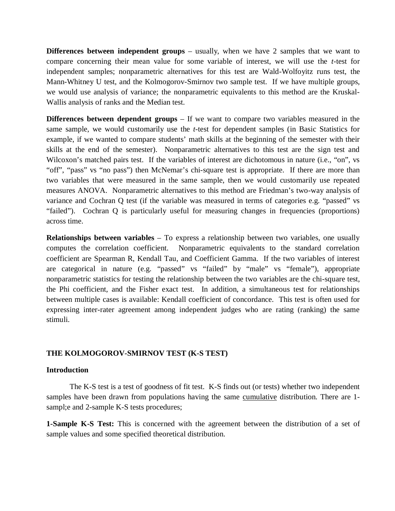**Differences between independent groups** – usually, when we have 2 samples that we want to compare concerning their mean value for some variable of interest, we will use the *t*-test for independent samples; nonparametric alternatives for this test are Wald-Wolfoyitz runs test, the Mann-Whitney U test, and the Kolmogorov-Smirnov two sample test. If we have multiple groups, we would use analysis of variance; the nonparametric equivalents to this method are the Kruskal-Wallis analysis of ranks and the Median test.

**Differences between dependent groups** – If we want to compare two variables measured in the same sample, we would customarily use the *t*-test for dependent samples (in Basic Statistics for example, if we wanted to compare students' math skills at the beginning of the semester with their skills at the end of the semester). Nonparametric alternatives to this test are the sign test and Wilcoxon's matched pairs test. If the variables of interest are dichotomous in nature (i.e., "on", vs "off", "pass" vs "no pass") then McNemar's chi-square test is appropriate. If there are more than two variables that were measured in the same sample, then we would customarily use repeated measures ANOVA. Nonparametric alternatives to this method are Friedman's two-way analysis of variance and Cochran Q test (if the variable was measured in terms of categories e.g. "passed" vs "failed"). Cochran Q is particularly useful for measuring changes in frequencies (proportions) across time.

**Relationships between variables** – To express a relationship between two variables, one usually computes the correlation coefficient. Nonparametric equivalents to the standard correlation coefficient are Spearman R, Kendall Tau, and Coefficient Gamma. If the two variables of interest are categorical in nature (e.g. "passed" vs "failed" by "male" vs "female"), appropriate nonparametric statistics for testing the relationship between the two variables are the chi-square test, the Phi coefficient, and the Fisher exact test. In addition, a simultaneous test for relationships between multiple cases is available: Kendall coefficient of concordance. This test is often used for expressing inter-rater agreement among independent judges who are rating (ranking) the same stimuli.

# **THE KOLMOGOROV-SMIRNOV TEST (K-S TEST)**

### **Introduction**

The K-S test is a test of goodness of fit test. K-S finds out (or tests) whether two independent samples have been drawn from populations having the same cumulative distribution. There are 1sampl; e and 2-sample K-S tests procedures;

**1-Sample K-S Test:** This is concerned with the agreement between the distribution of a set of sample values and some specified theoretical distribution.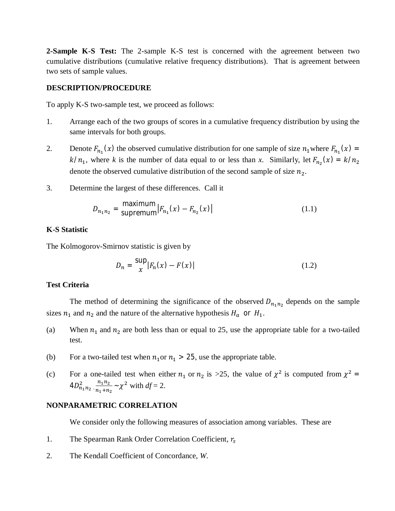**2-Sample K-S Test:** The 2-sample K-S test is concerned with the agreement between two cumulative distributions (cumulative relative frequency distributions). That is agreement between two sets of sample values.

#### **DESCRIPTION/PROCEDURE**

To apply K-S two-sample test, we proceed as follows:

- 1. Arrange each of the two groups of scores in a cumulative frequency distribution by using the same intervals for both groups.
- 2. Denote  $F_{n_1}(x)$  the observed cumulative distribution for one sample of size  $n_1$  where  $F_{n_1}(x)$  =  $k/n_1$ , where k is the number of data equal to or less than x. Similarly, let  $F_{n_2}(x) = k/n_2$ denote the observed cumulative distribution of the second sample of size  $n_2$ .
- 3. Determine the largest of these differences. Call it

$$
D_{n_1 n_2} = \frac{\text{maximum}}{\text{supremum}} |F_{n_1}(x) - F_{n_2}(x)| \qquad (1.1)
$$

#### **K-S Statistic**

The Kolmogorov-Smirnov statistic is given by

$$
D_n = \frac{\sup}{x} |F_n(x) - F(x)| \tag{1.2}
$$

## **Test Criteria**

The method of determining the significance of the observed  $D_{n_1 n_2}$  depends on the sample sizes  $n_1$  and  $n_2$  and the nature of the alternative hypothesis  $H_a$  or  $H_1$ .

- (a) When  $n_1$  and  $n_2$  are both less than or equal to 25, use the appropriate table for a two-tailed test.
- (b) For a two-tailed test when  $n_1$  or  $n_1 > 25$ , use the appropriate table.
- (c) For a one-tailed test when either  $n_1$  or  $n_2$  is >25, the value of  $\chi^2$  is computed from  $\chi^2$  =  $4D_{n_1n_2}^2 \cdot \frac{n_1n_2}{n_1+n_2}$  $\frac{n_1 n_2}{n_1 + n_2}$  ~  $\chi^2$  with  $df = 2$ .

# **NONPARAMETRIC CORRELATION**

We consider only the following measures of association among variables. These are

- 1. The Spearman Rank Order Correlation Coefficient,  $r_s$
- 2. The Kendall Coefficient of Concordance, *W*.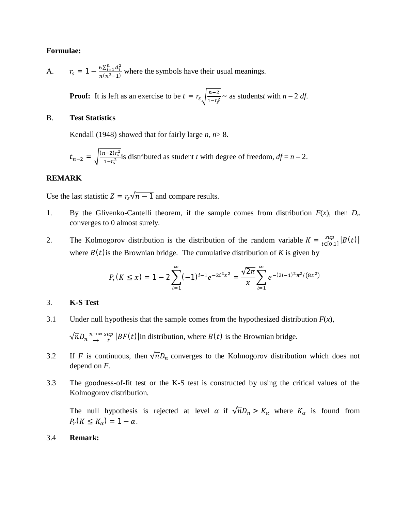# **Formulae:**

A. 
$$
r_s = 1 - \frac{6 \sum_{i=1}^n d_i^2}{n(n^2-1)}
$$
 where the symbols have their usual meanings.

**Proof:** It is left as an exercise to be  $t = r_s \sqrt{\frac{n-2}{1-r^2}}$  $rac{n-z}{1-r_s^2}$  ~ as students*t* with *n* – 2 *df*.

# B. **Test Statistics**

Kendall (1948) showed that for fairly large *n*, *n*> 8.

$$
t_{n-2} = \sqrt{\frac{(n-2)r_s^2}{1-r_s^2}}
$$
 is distributed as student *t* with degree of freedom,  $df = n - 2$ .

# **REMARK**

Use the last statistic  $Z = r_s \sqrt{n-1}$  and compare results.

- 1. By the Glivenko-Cantelli theorem, if the sample comes from distribution  $F(x)$ , then  $D_n$ converges to 0 almost surely.
- 2. The Kolmogorov distribution is the distribution of the random variable  $K = \frac{sup}{te{0}}$  $\sup_{t\in[0,1]}|B(t)|$ where  $B(t)$  is the Brownian bridge. The cumulative distribution of *K* is given by

$$
P_r(K \le x) = 1 - 2\sum_{i=1}^{\infty} (-1)^{i-1} e^{-2i^2 x^2} = \frac{\sqrt{2\pi}}{x} \sum_{i=1}^{\infty} e^{-(2i-1)^2 \pi^2/(8x^2)}
$$

# 3. **K-S Test**

- 3.1 Under null hypothesis that the sample comes from the hypothesized distribution  $F(x)$ ,  $\sqrt{n}D_n \overset{n\to\infty}{\to}$  $\rightarrow$ sup  $_{t}^{\mu p}|BF(t)|$  in distribution, where  $B(t)$  is the Brownian bridge.
- 3.2 If *F* is continuous, then  $\sqrt{n}D_n$  converges to the Kolmogorov distribution which does not depend on *F*.
- 3.3 The goodness-of-fit test or the K-S test is constructed by using the critical values of the Kolmogorov distribution.

The null hypothesis is rejected at level  $\alpha$  if  $\sqrt{n}D_n > K_\alpha$  where  $K_\alpha$  is found from  $P_r(K \leq K_\alpha) = 1 - \alpha.$ 

#### 3.4 **Remark:**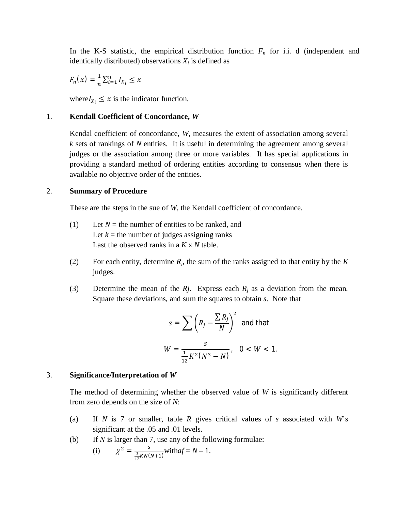In the K-S statistic, the empirical distribution function  $F_n$  for i.i. d (independent and identically distributed) observations  $X_i$  is defined as

 $F_n(x) = \frac{1}{n}$  $\frac{1}{n}\sum_{i=1}^n I_{X_i} \leq x$ 

where  $I_{X_i} \leq x$  is the indicator function.

### 1. **Kendall Coefficient of Concordance,** *W*

Kendal coefficient of concordance, *W*, measures the extent of association among several *k* sets of rankings of *N* entities. It is useful in determining the agreement among several judges or the association among three or more variables. It has special applications in providing a standard method of ordering entities according to consensus when there is available no objective order of the entities.

### 2. **Summary of Procedure**

These are the steps in the sue of *W*, the Kendall coefficient of concordance.

- (1) Let  $N =$  the number of entities to be ranked, and Let  $k =$  the number of judges assigning ranks Last the observed ranks in a *K* x *N* table.
- (2) For each entity, determine  $R_j$ , the sum of the ranks assigned to that entity by the  $K$ judges.
- (3) Determine the mean of the  $Rj$ . Express each  $R_j$  as a deviation from the mean. Square these deviations, and sum the squares to obtain *s*. Note that

$$
s = \sum \left(R_j - \frac{\sum R_j}{N}\right)^2 \text{ and that}
$$
  

$$
W = \frac{s}{\frac{1}{12}K^2(N^3 - N)}, \quad 0 < W < 1.
$$

#### 3. **Significance/Interpretation of** *W*

The method of determining whether the observed value of *W* is significantly different from zero depends on the size of *N*:

- (a) If *N* is 7 or smaller, table *R* gives critical values of *s* associated with *W*'s significant at the .05 and .01 levels.
- (b) If *N* is larger than 7, use any of the following formulae:

(i) 
$$
\chi^2 = \frac{s}{\frac{1}{12}KN(N+1)}
$$
 with  $af = N - 1$ .